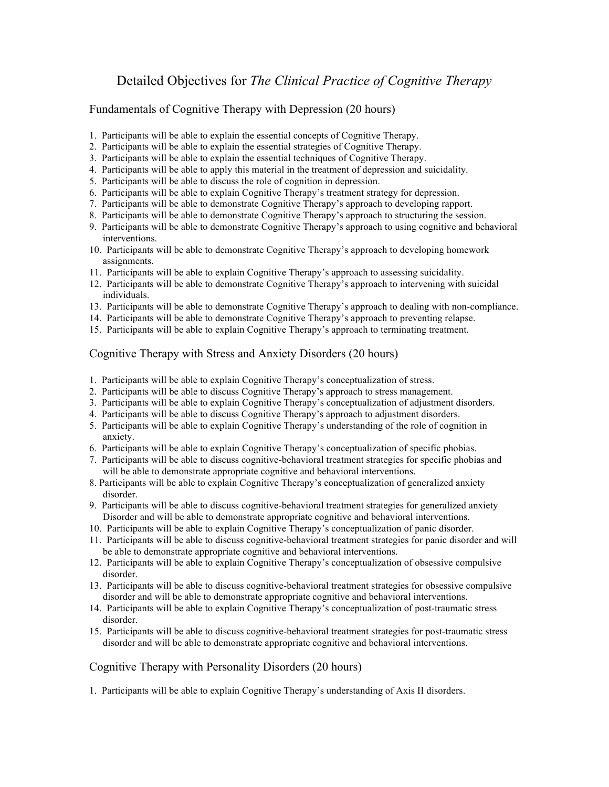## Detailed Objectives for *The Clinical Practice of Cognitive Therapy*

Fundamentals of Cognitive Therapy with Depression (20 hours)

- 1. Participants will be able to explain the essential concepts of Cognitive Therapy.
- 2. Participants will be able to explain the essential strategies of Cognitive Therapy.
- 3. Participants will be able to explain the essential techniques of Cognitive Therapy.
- 4. Participants will be able to apply this material in the treatment of depression and suicidality.
- 5. Participants will be able to discuss the role of cognition in depression.
- 6. Participants will be able to explain Cognitive Therapy's treatment strategy for depression.
- 7. Participants will be able to demonstrate Cognitive Therapy's approach to developing rapport.
- 8. Participants will be able to demonstrate Cognitive Therapy's approach to structuring the session.
- 9. Participants will be able to demonstrate Cognitive Therapy's approach to using cognitive and behavioral interventions.
- 10. Participants will be able to demonstrate Cognitive Therapy's approach to developing homework assignments.
- 11. Participants will be able to explain Cognitive Therapy's approach to assessing suicidality.
- 12. Participants will be able to demonstrate Cognitive Therapy's approach to intervening with suicidal individuals.
- 13. Participants will be able to demonstrate Cognitive Therapy's approach to dealing with non-compliance.
- 14. Participants will be able to demonstrate Cognitive Therapy's approach to preventing relapse.
- 15. Participants will be able to explain Cognitive Therapy's approach to terminating treatment.

## Cognitive Therapy with Stress and Anxiety Disorders (20 hours)

- 1. Participants will be able to explain Cognitive Therapy's conceptualization of stress.
- 2. Participants will be able to discuss Cognitive Therapy's approach to stress management.
- 3. Participants will be able to explain Cognitive Therapy's conceptualization of adjustment disorders.
- 4. Participants will be able to discuss Cognitive Therapy's approach to adjustment disorders.
- 5. Participants will be able to explain Cognitive Therapy's understanding of the role of cognition in anxiety.
- 6. Participants will be able to explain Cognitive Therapy's conceptualization of specific phobias.
- 7. Participants will be able to discuss cognitive-behavioral treatment strategies for specific phobias and will be able to demonstrate appropriate cognitive and behavioral interventions.
- 8. Participants will be able to explain Cognitive Therapy's conceptualization of generalized anxiety disorder.
- 9. Participants will be able to discuss cognitive-behavioral treatment strategies for generalized anxiety Disorder and will be able to demonstrate appropriate cognitive and behavioral interventions.
- 10. Participants will be able to explain Cognitive Therapy's conceptualization of panic disorder.
- 11. Participants will be able to discuss cognitive-behavioral treatment strategies for panic disorder and will be able to demonstrate appropriate cognitive and behavioral interventions.
- 12. Participants will be able to explain Cognitive Therapy's conceptualization of obsessive compulsive disorder.
- 13. Participants will be able to discuss cognitive-behavioral treatment strategies for obsessive compulsive disorder and will be able to demonstrate appropriate cognitive and behavioral interventions.
- 14. Participants will be able to explain Cognitive Therapy's conceptualization of post-traumatic stress disorder.
- 15. Participants will be able to discuss cognitive-behavioral treatment strategies for post-traumatic stress disorder and will be able to demonstrate appropriate cognitive and behavioral interventions.

## Cognitive Therapy with Personality Disorders (20 hours)

1. Participants will be able to explain Cognitive Therapy's understanding of Axis II disorders.